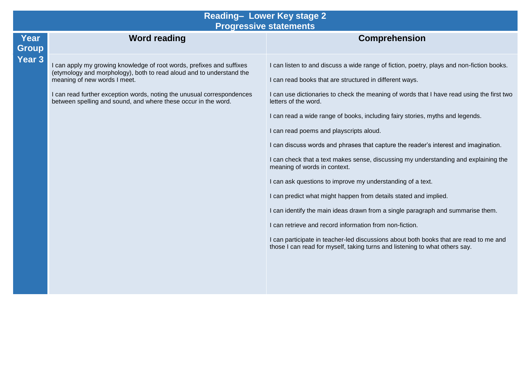## **Reading– Lower Key stage 2 Progressive statements**

| Year<br><b>Group</b> | <b>Word reading</b>                                                                                                                                                           | <b>Comprehension</b>                                                                                                                                                 |
|----------------------|-------------------------------------------------------------------------------------------------------------------------------------------------------------------------------|----------------------------------------------------------------------------------------------------------------------------------------------------------------------|
| Year <sub>3</sub>    | I can apply my growing knowledge of root words, prefixes and suffixes<br>(etymology and morphology), both to read aloud and to understand the<br>meaning of new words I meet. | I can listen to and discuss a wide range of fiction, poetry, plays and non-fiction books.                                                                            |
|                      |                                                                                                                                                                               | I can read books that are structured in different ways.                                                                                                              |
|                      | I can read further exception words, noting the unusual correspondences<br>between spelling and sound, and where these occur in the word.                                      | I can use dictionaries to check the meaning of words that I have read using the first two<br>letters of the word.                                                    |
|                      |                                                                                                                                                                               | I can read a wide range of books, including fairy stories, myths and legends.                                                                                        |
|                      |                                                                                                                                                                               | I can read poems and playscripts aloud.                                                                                                                              |
|                      |                                                                                                                                                                               | I can discuss words and phrases that capture the reader's interest and imagination.                                                                                  |
|                      |                                                                                                                                                                               | I can check that a text makes sense, discussing my understanding and explaining the<br>meaning of words in context.                                                  |
|                      |                                                                                                                                                                               | I can ask questions to improve my understanding of a text.                                                                                                           |
|                      |                                                                                                                                                                               | I can predict what might happen from details stated and implied.                                                                                                     |
|                      |                                                                                                                                                                               | I can identify the main ideas drawn from a single paragraph and summarise them.                                                                                      |
|                      |                                                                                                                                                                               | I can retrieve and record information from non-fiction.                                                                                                              |
|                      |                                                                                                                                                                               | I can participate in teacher-led discussions about both books that are read to me and<br>those I can read for myself, taking turns and listening to what others say. |
|                      |                                                                                                                                                                               |                                                                                                                                                                      |
|                      |                                                                                                                                                                               |                                                                                                                                                                      |
|                      |                                                                                                                                                                               |                                                                                                                                                                      |